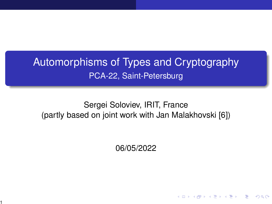# <span id="page-0-0"></span>Automorphisms of Types and Cryptography PCA-22, Saint-Petersburg

#### Sergei Soloviev, IRIT, France (partly based on joint work with Jan Malakhovski [\[6\]](#page-24-0))

06/05/2022

イロメ イ部メ イ君メ イ君メー

 $\Omega$ 

1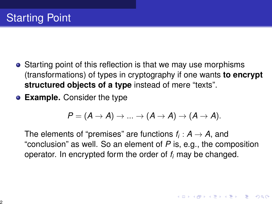- Starting point of this reflection is that we may use morphisms (transformations) of types in cryptography if one wants **to encrypt structured objects of a type** instead of mere "texts".
- **Example.** Consider the type

$$
P=(A\rightarrow A)\rightarrow ...\rightarrow (A\rightarrow A)\rightarrow (A\rightarrow A).
$$

The elements of "premises" are functions  $f_i: \mathcal{A} \rightarrow \mathcal{A},$  and "conclusion" as well. So an element of *P* is, e.g., the composition operator. In encrypted form the order of *f<sup>i</sup>* may be changed.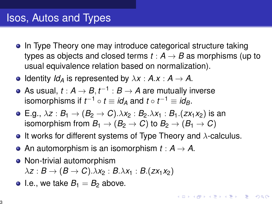## Isos, Autos and Types

- In Type Theory one may introduce categorical structure taking types as objects and closed terms  $t : A \rightarrow B$  as morphisms (up to usual equivalence relation based on normalization).
- $\bullet$  Identity *Id<sub>A</sub>* is represented by  $\lambda x : A \rightarrow A$ .
- As usual,  $t: \mathcal{A} \rightarrow \mathcal{B}, t^{-1}: \mathcal{B} \rightarrow \mathcal{A}$  are mutually inverse isomorphisms if  $t^{-1} \circ t \equiv \mathit{id}_A$  and  $t \circ t^{-1} \equiv \mathit{id}_B.$
- E.g.,  $\lambda z : B_1 \to (B_2 \to C) \cdot \lambda x_2 : B_2 \cdot \lambda x_1 : B_1 \cdot (zx_1x_2)$  is an isomorphism from  $B_1 \rightarrow (B_2 \rightarrow C)$  to  $B_2 \rightarrow (B_1 \rightarrow C)$
- **It works for different systems of Type Theory and**  $\lambda$ **-calculus.**

**KOLKAR KELKEL ARA** 

- An automorphism is an isomorphism  $t : A \rightarrow A$ .
- Non-trivial automorphism
	- $\lambda z : B \rightarrow (B \rightarrow C) . \lambda x_2 : B . \lambda x_1 : B . (z x_1 x_2)$
- I.e., we take  $B_1 = B_2$  above.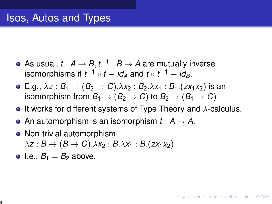## Isos, Autos and Types

- As usual,  $t: \mathcal{A} \rightarrow \mathcal{B}, t^{-1}: \mathcal{B} \rightarrow \mathcal{A}$  are mutually inverse isomorphisms if  $t^{-1} \circ t \equiv id_A$  and  $t \circ t^{-1} \equiv id_B.$
- $\bullet$  E.g.,  $\lambda z : B_1 \rightarrow (B_2 \rightarrow C) \cdot \lambda x_2 : B_2 \cdot \lambda x_1 : B_1 \cdot (zx_1x_2)$  is an isomorphism from  $B_1 \rightarrow (B_2 \rightarrow C)$  to  $B_2 \rightarrow (B_1 \rightarrow C)$
- **It works for different systems of Type Theory and**  $\lambda$ **-calculus.**
- An automorphism is an isomorphism  $t : A \rightarrow A$ .
- Non-trivial automorphism

 $\lambda z : B \rightarrow (B \rightarrow C) \cdot \lambda x_2 : B \cdot \lambda x_1 : B \cdot (zx_1x_2)$ 

 $\bullet$  I.e.,  $B_1 = B_2$  above.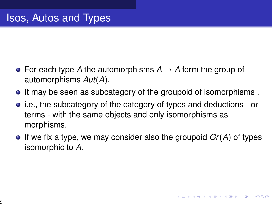- For each type A the automorphisms  $A \rightarrow A$  form the group of automorphisms *Aut*(*A*).
- It may be seen as subcategory of the groupoid of isomorphisms.
- i.e., the subcategory of the category of types and deductions or terms - with the same objects and only isomorphisms as morphisms.
- $\bullet$  If we fix a type, we may consider also the groupoid  $Gr(A)$  of types isomorphic to *A*.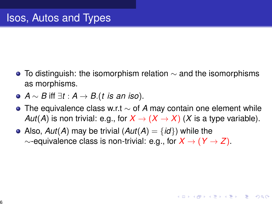- $\bullet$  To distinguish: the isomorphism relation  $\sim$  and the isomorphisms as morphisms.
- *A* ∼ *B* iff ∃*t* : *A* → *B*.(*t is an iso*).
- The equivalence class w.r.t ∼ of *A* may contain one element while *Aut*(*A*) is non trivial: e.g., for  $X \to (X \to X)$  (*X* is a type variable).
- Also,  $Aut(A)$  may be trivial  $(Aut(A) = \{id\})$  while the ∼-equivalence class is non-trivial: e.g., for *X* → (*Y* → *Z*).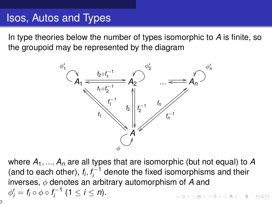### Isos, Autos and Types

In type theories below the number of types isomorphic to *A* is finite, so the groupoid may be represented by the diagram



where  $A_1, ..., A_n$  are all types that are isomorphic (but not equal) to  $A$ (and to each other),  $f_i, f_i^{-1}$  $i_{i}^{\leftarrow 1}$  denote the fixed isomorphisms and their inverses, φ denotes an arbitrary automorphism of *A* and  $\phi'_i = f_i \circ \phi \circ f_i^{-1}$  $i_j^{i-1}$  (1  $\leq i \leq n$ ). .<br>@ ▶ ( ) 원 ▶ ( ) 원 ▶ ( ) 원  $2990$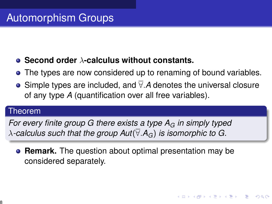#### **Second order** λ**-calculus without constants.**

- The types are now considered up to renaming of bound variables.
- Simple types are included, and ∀.*A* denotes the universal closure of any type *A* (quantification over all free variables).

#### Theorem

*For every finite group G there exists a type A<sup>G</sup> in simply typed*  $\lambda$ -calculus such that the group  $Aut(\overline{\forall} A_G)$  is isomorphic to G.

**Remark.** The question about optimal presentation may be considered separately.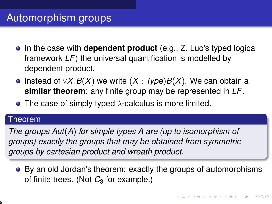# Automorphism groups

- In the case with **dependent product** (e.g., Z. Luo's typed logical framework *LF*) the universal quantification is modelled by dependent product.
- Instead of ∀*X*.*B*(*X*) we write (*X* : *Type*)*B*(*X*). We can obtain a **similar theorem**: any finite group may be represented in *LF*.
- The case of simply typed  $\lambda$ -calculus is more limited.

#### Theorem

*The groups Aut*(*A*) *for simple types A are (up to isomorphism of groups) exactly the groups that may be obtained from symmetric groups by cartesian product and wreath product.*

By an old Jordan's theorem: exactly the groups of automorphisms of finite trees. (Not C<sub>3</sub> for example.)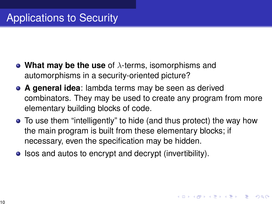- **What may be the use** of λ-terms, isomorphisms and automorphisms in a security-oriented picture?
- **A general idea**: lambda terms may be seen as derived combinators. They may be used to create any program from more elementary building blocks of code.
- To use them "intelligently" to hide (and thus protect) the way how the main program is built from these elementary blocks; if necessary, even the specification may be hidden.
- Isos and autos to encrypt and decrypt (invertibility).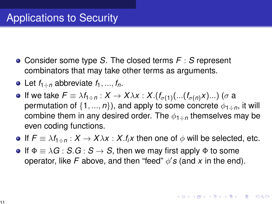- Consider some type *S*. The closed terms *F* : *S* represent combinators that may take other terms as arguments.
- Let  $f_{1\text{-}n}$  abbreviate  $f_1, ..., f_n$ .
- If we take *F* ≡ λ*f*1÷*<sup>n</sup>* : *X* → *X*λ*x* : *X*.(*f*σ(1) (...(*f*σ(*n*)*x*)...) (σ a permutation of  $\{1, ..., n\}$ , and apply to some concrete  $\phi_{1\div n}$ , it will combine them in any desired order. The  $\phi_1 \rightarrow p$  themselves may be even coding functions.
- **■** If  $F \equiv \lambda f_{1\div n} : X \rightarrow X\lambda x : X.f_i x$  then one of  $\phi$  will be selected, etc.
- **If**  $\Phi \equiv \lambda G : S.G : S \rightarrow S$ , then we may first apply  $\Phi$  to some operator, like  $F$  above, and then "feed"  $\phi$ 's (and  $x$  in the end).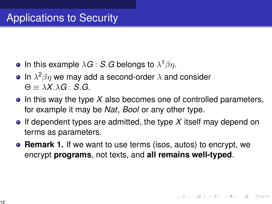- In this example  $\lambda \bm{G}$  : *S*.*G* belongs to  $\lambda^1\beta\eta.$
- In  $\lambda^2\beta\eta$  we may add a second-order  $\lambda$  and consider  $\Theta = \lambda X \lambda G : S \cdot G$ .
- $\bullet$  In this way the type X also becomes one of controlled parameters, for example it may be *Nat*, *Bool* or any other type.
- If dependent types are admitted, the type *X* itself may depend on terms as parameters.
- **e** Remark 1. If we want to use terms (isos, autos) to encrypt, we encrypt **programs**, not texts, and **all remains well-typed**.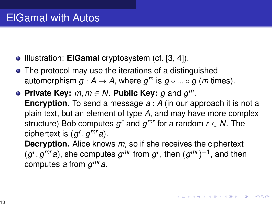- **Illustration: ElGamal cryptosystem (cf. [\[3,](#page-24-1) [4\]](#page-24-2)).**
- The protocol may use the iterations of a distinguished automorphism  $g : \mathsf{A} \to \mathsf{A}$ , where  $g^m$  is  $g \circ ... \circ g$  (*m* times).
- **Private Key:** *m*, *m* ∈ *N*. **Public Key:** *g* and *g m*. **Encryption.** To send a message *a* : *A* (in our approach it is not a plain text, but an element of type *A*, and may have more complex structure) Bob computes  $g^r$  and  $g^{mr}$  for a random  $r \in \mathcal{N}.$  The ciphertext is  $(g^r, g^{mr}a)$ . **Decryption.** Alice knows *m*, so if she receives the ciphertext  $(g^r, g^{mr}a)$ , she computes  $g^{mr}$  from  $g^r$ , then  $(g^{mr})^{-1}$ , and then

computes *a* from *g mra*.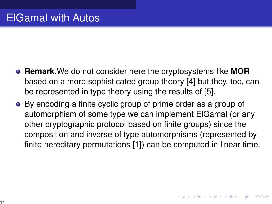- **Remark.**We do not consider here the cryptosystems like **MOR** based on a more sophisticated group theory [\[4\]](#page-24-2) but they, too, can be represented in type theory using the results of [\[5\]](#page-24-3).
- By encoding a finite cyclic group of prime order as a group of automorphism of some type we can implement ElGamal (or any other cryptographic protocol based on finite groups) since the composition and inverse of type automorphisms (represented by finite hereditary permutations [\[1\]](#page-24-4)) can be computed in linear time.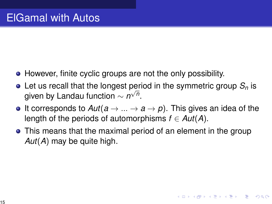- However, finite cyclic groups are not the only possibility.
- Let us recall that the longest period in the symmetric group  $\mathcal{S}_n$  is given by Landau function  $\sim$   $n^{\sqrt{n}}.$
- It corresponds to  $Aut(a \rightarrow ... \rightarrow a \rightarrow p)$ . This gives an idea of the length of the periods of automorphisms  $f \in Aut(A)$ .
- This means that the maximal period of an element in the group *Aut*(*A*) may be quite high.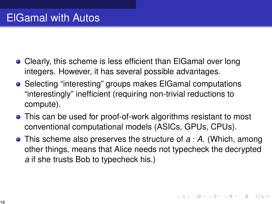### ElGamal with Autos

- Clearly, this scheme is less efficient than ElGamal over long integers. However, it has several possible advantages.
- Selecting "interesting" groups makes ElGamal computations "interestingly" inefficient (requiring non-trivial reductions to compute).
- This can be used for proof-of-work algorithms resistant to most conventional computational models (ASICs, GPUs, CPUs).
- This scheme also preserves the structure of *a* : *A*. (Which, among other things, means that Alice needs not typecheck the decrypted *a* if she trusts Bob to typecheck his.)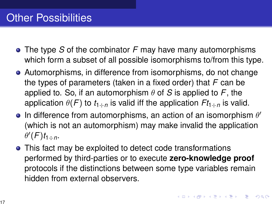- The type *S* of the combinator *F* may have many automorphisms which form a subset of all possible isomorphisms to/from this type.
- Automorphisms, in difference from isomorphisms, do not change the types of parameters (taken in a fixed order) that *F* can be applied to. So, if an automorphism  $\theta$  of *S* is applied to *F*, the application  $\theta(F)$  to  $t_{1\pm n}$  is valid iff the application  $Ft_{1\pm n}$  is valid.
- In difference from automorphisms, an action of an isomorphism  $\theta'$ (which is not an automorphism) may make invalid the application  $\theta$ <sup>'</sup> $(F)$ *t*<sub>1÷*n*</sub>.
- This fact may be exploited to detect code transformations performed by third-parties or to execute **zero-knowledge proof** protocols if the distinctions between some type variables remain hidden from external observers.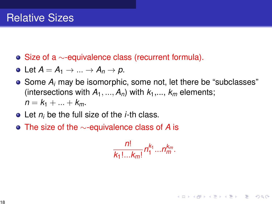- $\bullet$  Size of a  $\sim$ -equivalence class (recurrent formula).
- Let  $A = A_1 \rightarrow ... \rightarrow A_n \rightarrow p$ .
- Some  $A_i$  may be isomorphic, some not, let there be "subclasses" (intersections with  $A_1$ , ...,  $A_n$ ) with  $k_1$ , ...,  $k_m$  elements;  $n = k_1 + ... + k_m$ .
- Let *n<sup>i</sup>* be the full size of the *i*-th class.
- The size of the ∼-equivalence class of *A* is

$$
\frac{n!}{k_1! \dots k_m!} n_1^{k_1} \dots n_m^{k_m}.
$$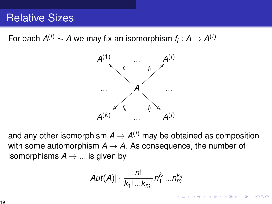#### Relative Sizes

For each  $A^{(i)} \sim A$  we may fix an isomorphism  $f_i : A \to A^{(i)}$ 



and any other isomorphism  $A \to A^{(i)}$  may be obtained as composition with some automorphism  $A \rightarrow A$ . As consequence, the number of isomorphisms  $A \rightarrow \dots$  is given by

$$
|Aut(A)|\cdot\frac{n!}{k_1!...k_m!}n_1^{k_1}...n_m^{k_m}
$$

イロメ 不優 メイ君メ イ君メー 君一

 $2990$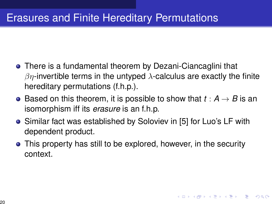#### Erasures and Finite Hereditary Permutations

- There is a fundamental theorem by Dezani-Ciancaglini that  $βη$ -invertible terms in the untyped  $λ$ -calculus are exactly the finite hereditary permutations (f.h.p.).
- Based on this theorem, it is possible to show that  $t : A \rightarrow B$  is an isomorphism iff its *erasure* is an f.h.p.
- Similar fact was established by Soloviev in [\[5\]](#page-24-3) for Luo's LF with dependent product.
- This property has still to be explored, however, in the security context.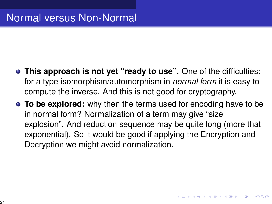- **This approach is not yet "ready to use".** One of the difficulties: for a type isomorphism/automorphism in *normal form* it is easy to compute the inverse. And this is not good for cryptography.
- **To be explored:** why then the terms used for encoding have to be in normal form? Normalization of a term may give "size explosion". And reduction sequence may be quite long (more that exponential). So it would be good if applying the Encryption and Decryption we might avoid normalization.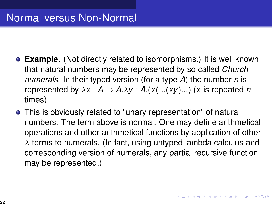## Normal versus Non-Normal

- **Example.** (Not directly related to isomorphisms.) It is well known that natural numbers may be represented by so called *Church numerals*. In their typed version (for a type *A*) the number *n* is represented by  $\lambda x : A \to A.\lambda y : A.(x(...(xy)...))$  (*x* is repeated *n* times).
- This is obviously related to "unary representation" of natural numbers. The term above is normal. One may define arithmetical operations and other arithmetical functions by application of other  $\lambda$ -terms to numerals. (In fact, using untyped lambda calculus and corresponding version of numerals, any partial recursive function may be represented.)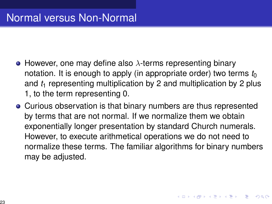## <span id="page-22-0"></span>Normal versus Non-Normal

- However, one may define also  $\lambda$ -terms representing binary notation. It is enough to apply (in appropriate order) two terms  $t_0$ and  $t_1$  representing multiplication by 2 and multiplication by 2 plus 1, to the term representing 0.
- Curious observation is that binary numbers are thus represented by terms that are not normal. If we normalize them we obtain exponentially longer presentation by standard Church numerals. However, to execute arithmetical operations we do not need to normalize these terms. The familiar algorithms for binary numbers may be adjusted.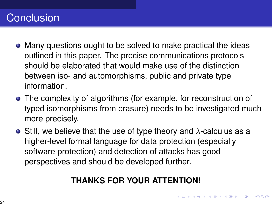# <span id="page-23-0"></span>Conclusion

- Many questions ought to be solved to make practical the ideas outlined in this paper. The precise communications protocols should be elaborated that would make use of the distinction between iso- and automorphisms, public and private type information.
- The complexity of algorithms (for example, for reconstruction of typed isomorphisms from erasure) needs to be investigated much more precisely.
- **•** Still, we believe that the use of type theory and  $\lambda$ -calculus as a higher-level formal language for data protection (especially software protection) and detection of attacks has good perspectives and should be developed further.

#### **THANKS FOR YOUR ATTENTION!**